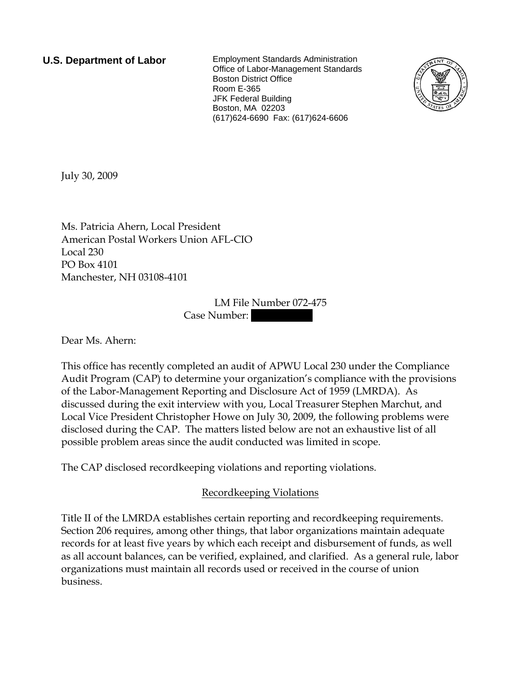**U.S. Department of Labor** Employment Standards Administration Office of Labor-Management Standards Boston District Office Room E-365 JFK Federal Building Boston, MA 02203 (617)624-6690 Fax: (617)624-6606



July 30, 2009

Ms. Patricia Ahern, Local President American Postal Workers Union AFL-CIO Local 230 PO Box 4101 Manchester, NH 03108-4101

> LM File Number 072-475 Case Number:

Dear Ms. Ahern:

This office has recently completed an audit of APWU Local 230 under the Compliance Audit Program (CAP) to determine your organization's compliance with the provisions of the Labor-Management Reporting and Disclosure Act of 1959 (LMRDA). As discussed during the exit interview with you, Local Treasurer Stephen Marchut, and Local Vice President Christopher Howe on July 30, 2009, the following problems were disclosed during the CAP. The matters listed below are not an exhaustive list of all possible problem areas since the audit conducted was limited in scope.

The CAP disclosed recordkeeping violations and reporting violations.

## Recordkeeping Violations

Title II of the LMRDA establishes certain reporting and recordkeeping requirements. Section 206 requires, among other things, that labor organizations maintain adequate records for at least five years by which each receipt and disbursement of funds, as well as all account balances, can be verified, explained, and clarified. As a general rule, labor organizations must maintain all records used or received in the course of union business.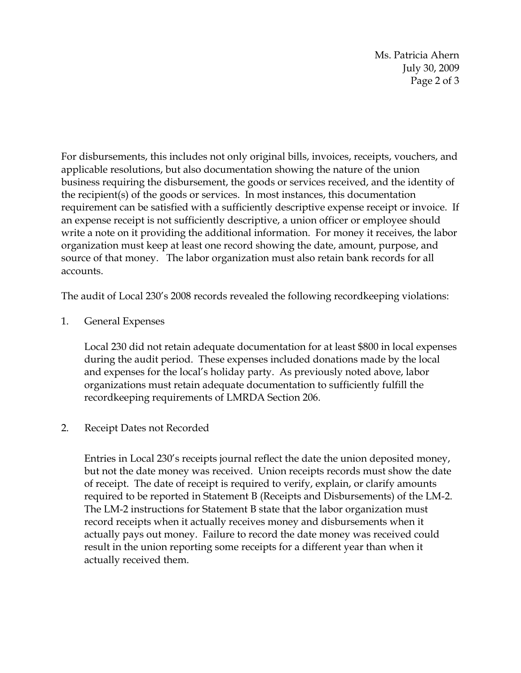Ms. Patricia Ahern July 30, 2009 Page 2 of 3

For disbursements, this includes not only original bills, invoices, receipts, vouchers, and applicable resolutions, but also documentation showing the nature of the union business requiring the disbursement, the goods or services received, and the identity of the recipient(s) of the goods or services. In most instances, this documentation requirement can be satisfied with a sufficiently descriptive expense receipt or invoice. If an expense receipt is not sufficiently descriptive, a union officer or employee should write a note on it providing the additional information. For money it receives, the labor organization must keep at least one record showing the date, amount, purpose, and source of that money. The labor organization must also retain bank records for all accounts.

The audit of Local 230's 2008 records revealed the following recordkeeping violations:

1. General Expenses

Local 230 did not retain adequate documentation for at least \$800 in local expenses during the audit period. These expenses included donations made by the local and expenses for the local's holiday party. As previously noted above, labor organizations must retain adequate documentation to sufficiently fulfill the recordkeeping requirements of LMRDA Section 206.

## 2. Receipt Dates not Recorded

Entries in Local 230's receipts journal reflect the date the union deposited money, but not the date money was received. Union receipts records must show the date of receipt. The date of receipt is required to verify, explain, or clarify amounts required to be reported in Statement B (Receipts and Disbursements) of the LM-2. The LM-2 instructions for Statement B state that the labor organization must record receipts when it actually receives money and disbursements when it actually pays out money. Failure to record the date money was received could result in the union reporting some receipts for a different year than when it actually received them.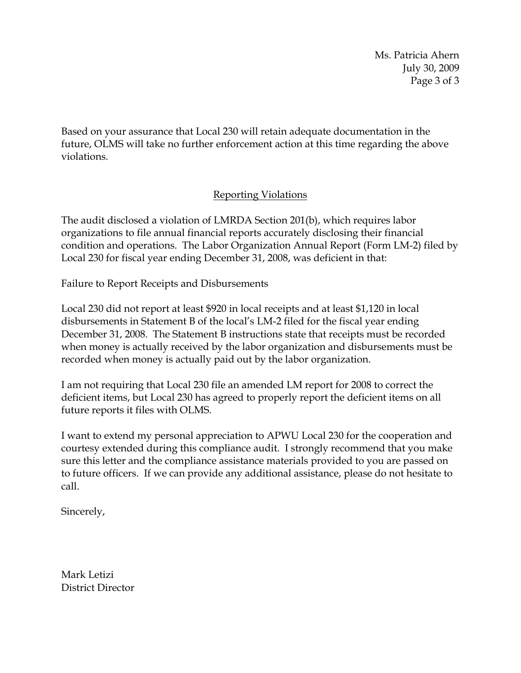Ms. Patricia Ahern July 30, 2009 Page 3 of 3

Based on your assurance that Local 230 will retain adequate documentation in the future, OLMS will take no further enforcement action at this time regarding the above violations.

## Reporting Violations

The audit disclosed a violation of LMRDA Section 201(b), which requires labor organizations to file annual financial reports accurately disclosing their financial condition and operations. The Labor Organization Annual Report (Form LM-2) filed by Local 230 for fiscal year ending December 31, 2008, was deficient in that:

Failure to Report Receipts and Disbursements

Local 230 did not report at least \$920 in local receipts and at least \$1,120 in local disbursements in Statement B of the local's LM-2 filed for the fiscal year ending December 31, 2008. The Statement B instructions state that receipts must be recorded when money is actually received by the labor organization and disbursements must be recorded when money is actually paid out by the labor organization.

I am not requiring that Local 230 file an amended LM report for 2008 to correct the deficient items, but Local 230 has agreed to properly report the deficient items on all future reports it files with OLMS.

I want to extend my personal appreciation to APWU Local 230 for the cooperation and courtesy extended during this compliance audit. I strongly recommend that you make sure this letter and the compliance assistance materials provided to you are passed on to future officers. If we can provide any additional assistance, please do not hesitate to call.

Sincerely,

Mark Letizi District Director